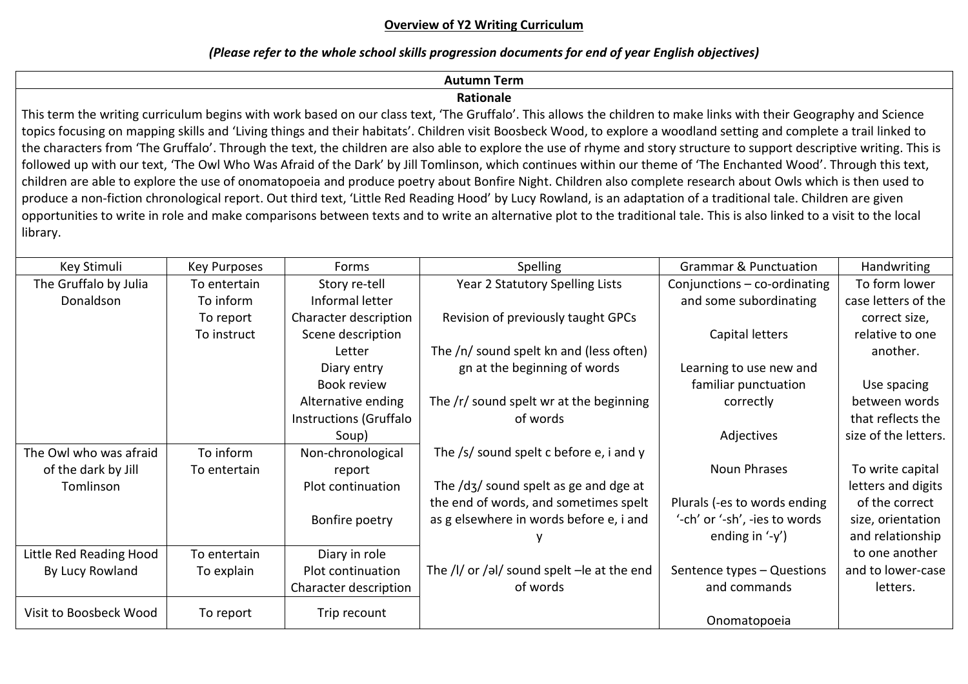## **Overview of Y2 Writing Curriculum**

### *(Please refer to the whole school skills progression documents for end of year English objectives)*

# **Autumn Term**

## **Rationale**

This term the writing curriculum begins with work based on our class text, 'The Gruffalo'. This allows the children to make links with their Geography and Science topics focusing on mapping skills and 'Living things and their habitats'. Children visit Boosbeck Wood, to explore a woodland setting and complete a trail linked to the characters from 'The Gruffalo'. Through the text, the children are also able to explore the use of rhyme and story structure to support descriptive writing. This is followed up with our text, 'The Owl Who Was Afraid of the Dark' by Jill Tomlinson, which continues within our theme of 'The Enchanted Wood'. Through this text, children are able to explore the use of onomatopoeia and produce poetry about Bonfire Night. Children also complete research about Owls which is then used to produce a non-fiction chronological report. Out third text, 'Little Red Reading Hood' by Lucy Rowland, is an adaptation of a traditional tale. Children are given opportunities to write in role and make comparisons between texts and to write an alternative plot to the traditional tale. This is also linked to a visit to the local library.

| Key Stimuli             | Key Purposes | Forms                  | Spelling                                                              | <b>Grammar &amp; Punctuation</b>     | Handwriting          |
|-------------------------|--------------|------------------------|-----------------------------------------------------------------------|--------------------------------------|----------------------|
| The Gruffalo by Julia   | To entertain | Story re-tell          | Year 2 Statutory Spelling Lists                                       | Conjunctions $-$ co-ordinating       | To form lower        |
| Donaldson               | To inform    | Informal letter        |                                                                       | and some subordinating               | case letters of the  |
|                         | To report    | Character description  | Revision of previously taught GPCs                                    |                                      | correct size,        |
|                         | To instruct  | Scene description      |                                                                       | Capital letters                      | relative to one      |
|                         |              | Letter                 | The /n/ sound spelt kn and (less often)                               |                                      | another.             |
|                         |              | Diary entry            | gn at the beginning of words                                          | Learning to use new and              |                      |
|                         |              | Book review            |                                                                       | familiar punctuation                 | Use spacing          |
|                         |              | Alternative ending     | The /r/ sound spelt wr at the beginning                               | correctly                            | between words        |
|                         |              | Instructions (Gruffalo | of words                                                              |                                      | that reflects the    |
|                         |              | Soup)                  |                                                                       | Adjectives                           | size of the letters. |
| The Owl who was afraid  | To inform    | Non-chronological      | The $/s/$ sound spelt c before e, i and y                             |                                      |                      |
| of the dark by Jill     | To entertain | report                 |                                                                       | Noun Phrases                         | To write capital     |
| Tomlinson               |              | Plot continuation      | The $\frac{d}{3}$ sound spelt as ge and dge at                        |                                      | letters and digits   |
|                         |              |                        | the end of words, and sometimes spelt                                 | Plurals (-es to words ending         | of the correct       |
|                         |              | Bonfire poetry         | as g elsewhere in words before e, i and                               | '-ch' or '-sh', -ies to words        | size, orientation    |
|                         |              |                        |                                                                       | ending in $\left(\frac{1}{y}\right)$ | and relationship     |
| Little Red Reading Hood | To entertain | Diary in role          |                                                                       |                                      | to one another       |
| By Lucy Rowland         | To explain   | Plot continuation      | The $\frac{1}{\sqrt{e}}$ or $\frac{1}{e}$ sound spelt - le at the end | Sentence types - Questions           | and to lower-case    |
|                         |              | Character description  | of words                                                              | and commands                         | letters.             |
| Visit to Boosbeck Wood  | To report    | Trip recount           |                                                                       | Onomatopoeia                         |                      |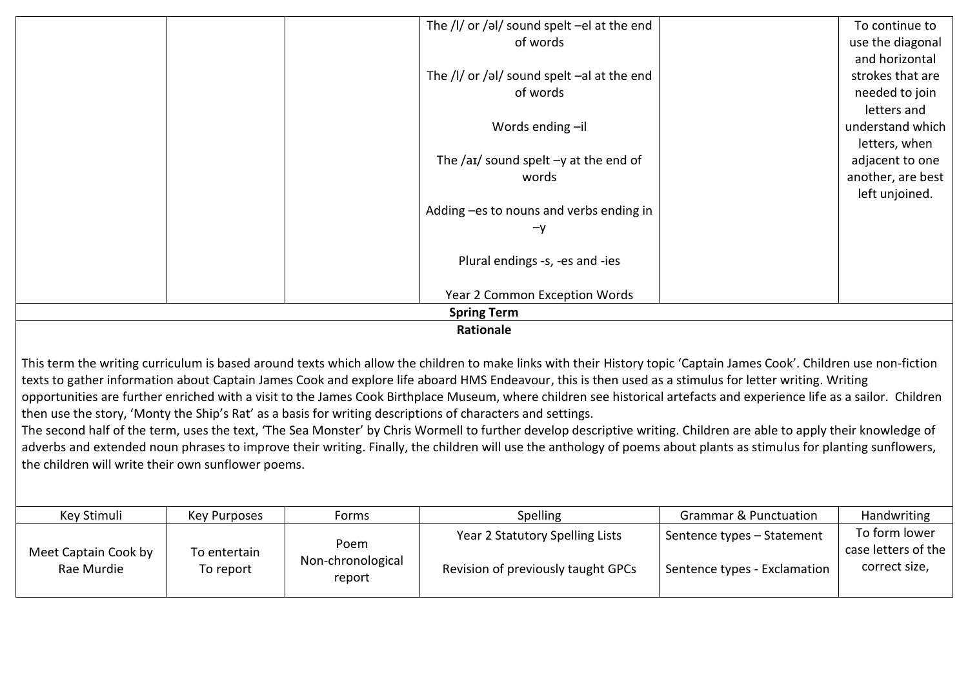|                                                    | The $/$ I/ or $/$ əI/ sound spelt -el at the end |  | To continue to    |  |
|----------------------------------------------------|--------------------------------------------------|--|-------------------|--|
|                                                    | of words                                         |  | use the diagonal  |  |
|                                                    |                                                  |  | and horizontal    |  |
|                                                    | The /I/ or /əl/ sound spelt $-$ al at the end    |  | strokes that are  |  |
|                                                    | of words                                         |  | needed to join    |  |
|                                                    |                                                  |  | letters and       |  |
|                                                    | Words ending -il                                 |  | understand which  |  |
|                                                    |                                                  |  | letters, when     |  |
|                                                    | The /aɪ/ sound spelt $-y$ at the end of          |  | adjacent to one   |  |
|                                                    | words                                            |  | another, are best |  |
|                                                    |                                                  |  | left unjoined.    |  |
|                                                    | Adding -es to nouns and verbs ending in          |  |                   |  |
|                                                    | -y                                               |  |                   |  |
|                                                    | Plural endings -s, -es and -ies                  |  |                   |  |
|                                                    | Year 2 Common Exception Words                    |  |                   |  |
| <b>Spring Term</b>                                 |                                                  |  |                   |  |
| $\mathbf{B}$ and $\mathbf{B}$ are all $\mathbf{B}$ |                                                  |  |                   |  |

#### **Rationale**

This term the writing curriculum is based around texts which allow the children to make links with their History topic 'Captain James Cook'. Children use non-fiction texts to gather information about Captain James Cook and explore life aboard HMS Endeavour, this is then used as a stimulus for letter writing. Writing opportunities are further enriched with a visit to the James Cook Birthplace Museum, where children see historical artefacts and experience life as a sailor. Children then use the story, 'Monty the Ship's Rat' as a basis for writing descriptions of characters and settings.

The second half of the term, uses the text, 'The Sea Monster' by Chris Wormell to further develop descriptive writing. Children are able to apply their knowledge of adverbs and extended noun phrases to improve their writing. Finally, the children will use the anthology of poems about plants as stimulus for planting sunflowers, the children will write their own sunflower poems.

| Key Stimuli                        | Key Purposes              | Forms                               | <b>Spelling</b>                                                       | <b>Grammar &amp; Punctuation</b>                           | Handwriting                                           |
|------------------------------------|---------------------------|-------------------------------------|-----------------------------------------------------------------------|------------------------------------------------------------|-------------------------------------------------------|
| Meet Captain Cook by<br>Rae Murdie | To entertain<br>To report | Poem<br>Non-chronological<br>report | Year 2 Statutory Spelling Lists<br>Revision of previously taught GPCs | Sentence types - Statement<br>Sentence types - Exclamation | To form lower<br>case letters of the<br>correct size, |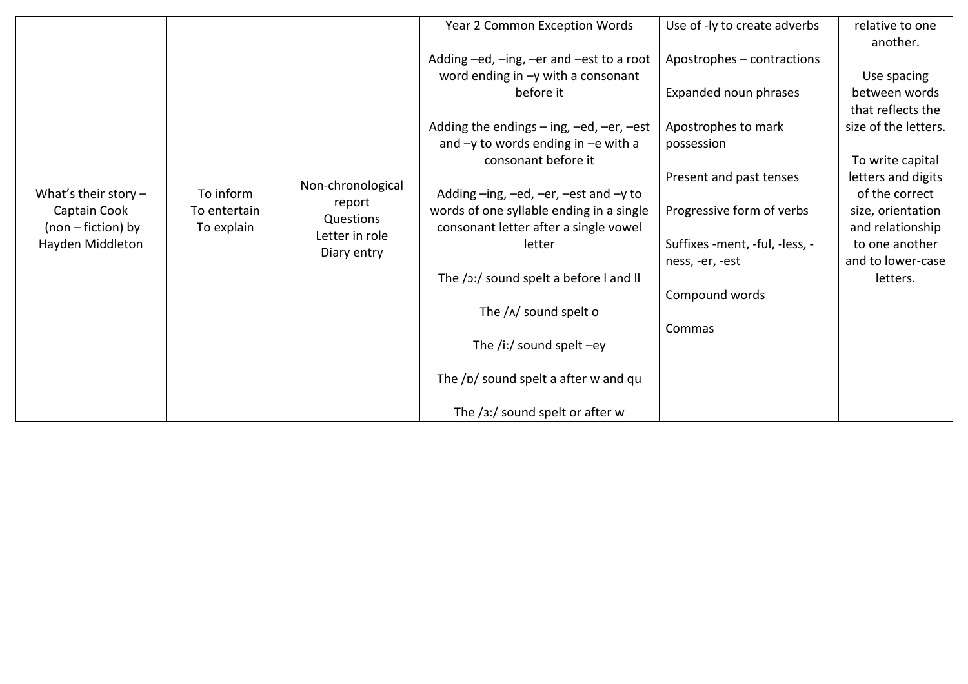|                                                                                  |                                         |                                                                           | Year 2 Common Exception Words                                                     | Use of -ly to create adverbs   | relative to one<br>another.           |
|----------------------------------------------------------------------------------|-----------------------------------------|---------------------------------------------------------------------------|-----------------------------------------------------------------------------------|--------------------------------|---------------------------------------|
|                                                                                  |                                         | Non-chronological<br>report<br>Questions<br>Letter in role<br>Diary entry | Adding -ed, -ing, -er and -est to a root                                          | Apostrophes - contractions     |                                       |
|                                                                                  |                                         |                                                                           | word ending in $-y$ with a consonant                                              |                                | Use spacing                           |
|                                                                                  |                                         |                                                                           | before it                                                                         | Expanded noun phrases          | between words                         |
|                                                                                  |                                         |                                                                           |                                                                                   |                                | that reflects the                     |
|                                                                                  |                                         |                                                                           | Adding the endings $-$ ing, $-e$ d, $-e$ r, $-e$ st                               | Apostrophes to mark            | size of the letters.                  |
|                                                                                  | To inform<br>To entertain<br>To explain |                                                                           | and $-y$ to words ending in $-e$ with a                                           | possession                     |                                       |
|                                                                                  |                                         |                                                                           | consonant before it                                                               |                                | To write capital                      |
|                                                                                  |                                         |                                                                           |                                                                                   | Present and past tenses        | letters and digits                    |
| What's their story $-$<br>Captain Cook<br>$(non-fiction)$ by<br>Hayden Middleton |                                         |                                                                           | Adding $-$ ing, $-$ ed, $-$ er, $-$ est and $-$ y to                              |                                | of the correct                        |
|                                                                                  |                                         |                                                                           | words of one syllable ending in a single<br>consonant letter after a single vowel | Progressive form of verbs      | size, orientation<br>and relationship |
|                                                                                  |                                         |                                                                           | letter                                                                            | Suffixes -ment, -ful, -less, - | to one another                        |
|                                                                                  |                                         |                                                                           |                                                                                   | ness, -er, -est                | and to lower-case                     |
|                                                                                  |                                         |                                                                           | The /ɔː/ sound spelt a before I and II                                            |                                | letters.                              |
|                                                                                  |                                         |                                                                           |                                                                                   | Compound words                 |                                       |
|                                                                                  |                                         |                                                                           | The $/\sqrt{N}$ sound spelt o                                                     |                                |                                       |
|                                                                                  |                                         |                                                                           |                                                                                   | Commas                         |                                       |
|                                                                                  |                                         |                                                                           | The /i:/ sound spelt $-ey$                                                        |                                |                                       |
|                                                                                  |                                         |                                                                           |                                                                                   |                                |                                       |
|                                                                                  |                                         |                                                                           | The /p/ sound spelt a after w and qu                                              |                                |                                       |
|                                                                                  |                                         |                                                                           |                                                                                   |                                |                                       |
|                                                                                  |                                         |                                                                           | The $/3$ :/ sound spelt or after w                                                |                                |                                       |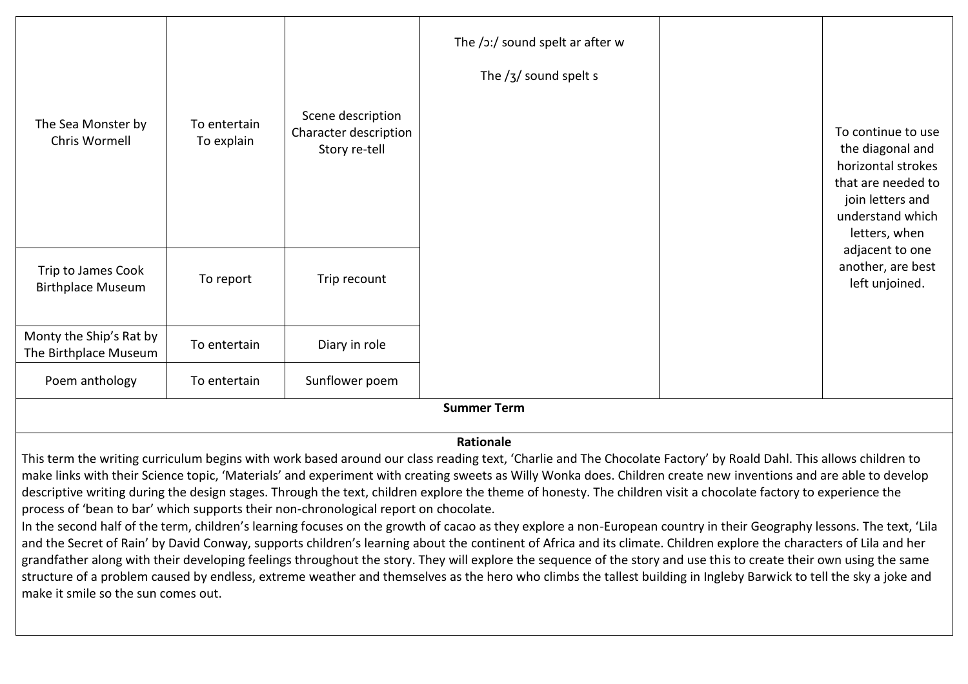| The Sea Monster by<br>Chris Wormell              | To entertain<br>To explain | Scene description<br>Character description<br>Story re-tell | The /ɔ:/ sound spelt ar after w<br>The $/3/$ sound spelt s |  | To continue to use<br>the diagonal and<br>horizontal strokes<br>that are needed to<br>join letters and<br>understand which<br>letters, when |
|--------------------------------------------------|----------------------------|-------------------------------------------------------------|------------------------------------------------------------|--|---------------------------------------------------------------------------------------------------------------------------------------------|
| Trip to James Cook<br><b>Birthplace Museum</b>   | To report                  | Trip recount                                                |                                                            |  | adjacent to one<br>another, are best<br>left unjoined.                                                                                      |
| Monty the Ship's Rat by<br>The Birthplace Museum | To entertain               | Diary in role                                               |                                                            |  |                                                                                                                                             |
| Poem anthology                                   | To entertain               | Sunflower poem                                              |                                                            |  |                                                                                                                                             |
| <b>Summer Term</b>                               |                            |                                                             |                                                            |  |                                                                                                                                             |

### **Rationale**

This term the writing curriculum begins with work based around our class reading text, 'Charlie and The Chocolate Factory' by Roald Dahl. This allows children to make links with their Science topic, 'Materials' and experiment with creating sweets as Willy Wonka does. Children create new inventions and are able to develop descriptive writing during the design stages. Through the text, children explore the theme of honesty. The children visit a chocolate factory to experience the process of 'bean to bar' which supports their non-chronological report on chocolate.

In the second half of the term, children's learning focuses on the growth of cacao as they explore a non-European country in their Geography lessons. The text, 'Lila and the Secret of Rain' by David Conway, supports children's learning about the continent of Africa and its climate. Children explore the characters of Lila and her grandfather along with their developing feelings throughout the story. They will explore the sequence of the story and use this to create their own using the same structure of a problem caused by endless, extreme weather and themselves as the hero who climbs the tallest building in Ingleby Barwick to tell the sky a joke and make it smile so the sun comes out.